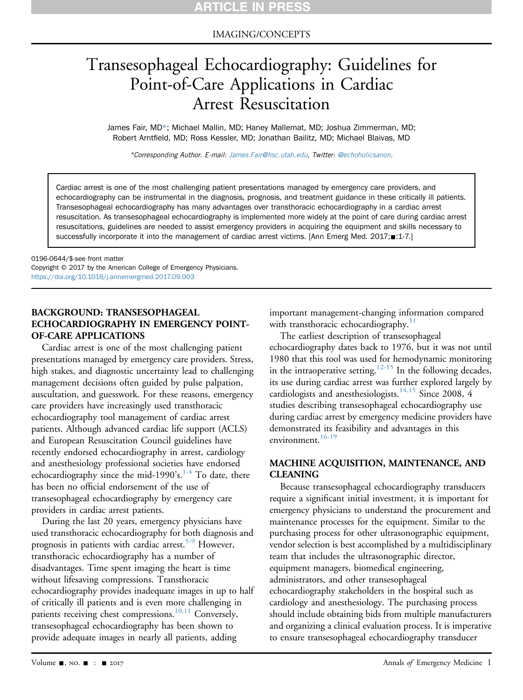#### IMAGING/CONCEPTS

# Transesophageal Echocardiography: Guidelines for Point-of-Care Applications in Cardiac Arrest Resuscitation

James Fair, MD\*; Michael Mallin, MD; Haney Mallemat, MD; Joshua Zimmerman, MD; Robert Arntfield, MD; Ross Kessler, MD; Jonathan Bailitz, MD; Michael Blaivas, MD

\*Corresponding Author. E-mail: [James.Fair@hsc.utah.edu](mailto:James.Fair@hsc.utah.edu), Twitter: [@echoholicsanon](https://twitter.com/echoholicsanon).

Cardiac arrest is one of the most challenging patient presentations managed by emergency care providers, and echocardiography can be instrumental in the diagnosis, prognosis, and treatment guidance in these critically ill patients. Transesophageal echocardiography has many advantages over transthoracic echocardiography in a cardiac arrest resuscitation. As transesophageal echocardiography is implemented more widely at the point of care during cardiac arrest resuscitations, guidelines are needed to assist emergency providers in acquiring the equipment and skills necessary to successfully incorporate it into the management of cardiac arrest victims. [Ann Emerg Med. 2017; 1:1-7.]

0196-0644/\$-see front matter Copyright © 2017 by the American College of Emergency Physicians. <https://doi.org/10.1016/j.annemergmed.2017.09.003>

#### BACKGROUND: TRANSESOPHAGEAL ECHOCARDIOGRAPHY IN EMERGENCY POINT-OF-CARE APPLICATIONS

Cardiac arrest is one of the most challenging patient presentations managed by emergency care providers. Stress, high stakes, and diagnostic uncertainty lead to challenging management decisions often guided by pulse palpation, auscultation, and guesswork. For these reasons, emergency care providers have increasingly used transthoracic echocardiography tool management of cardiac arrest patients. Although advanced cardiac life support (ACLS) and European Resuscitation Council guidelines have recently endorsed echocardiography in arrest, cardiology and anesthesiology professional societies have endorsed echocardiography since the mid-1990's.<sup>[1-4](#page-5-0)</sup> To date, there has been no official endorsement of the use of transesophageal echocardiography by emergency care providers in cardiac arrest patients.

During the last 20 years, emergency physicians have used transthoracic echocardiography for both diagnosis and prognosis in patients with cardiac arrest.<sup>[5-9](#page-5-1)</sup> However, transthoracic echocardiography has a number of disadvantages. Time spent imaging the heart is time without lifesaving compressions. Transthoracic echocardiography provides inadequate images in up to half of critically ill patients and is even more challenging in patients receiving chest compressions.<sup>[10,11](#page-5-2)</sup> Conversely, transesophageal echocardiography has been shown to provide adequate images in nearly all patients, adding

important management-changing information compared with transthoracic echocardiography. $11$ 

The earliest description of transesophageal echocardiography dates back to 1976, but it was not until 1980 that this tool was used for hemodynamic monitoring in the intraoperative setting.<sup>12-15</sup> In the following decades, its use during cardiac arrest was further explored largely by cardiologists and anesthesiologists.<sup>[14,15](#page-5-5)</sup> Since 2008, 4 studies describing transesophageal echocardiography use during cardiac arrest by emergency medicine providers have demonstrated its feasibility and advantages in this environment.<sup>[16-19](#page-5-6)</sup>

#### MACHINE ACQUISITION, MAINTENANCE, AND CLEANING

Because transesophageal echocardiography transducers require a significant initial investment, it is important for emergency physicians to understand the procurement and maintenance processes for the equipment. Similar to the purchasing process for other ultrasonographic equipment, vendor selection is best accomplished by a multidisciplinary team that includes the ultrasonographic director, equipment managers, biomedical engineering, administrators, and other transesophageal echocardiography stakeholders in the hospital such as cardiology and anesthesiology. The purchasing process should include obtaining bids from multiple manufacturers and organizing a clinical evaluation process. It is imperative to ensure transesophageal echocardiography transducer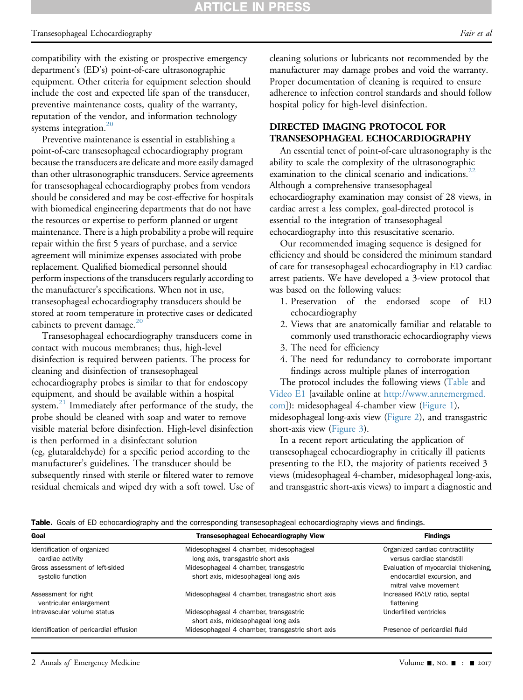#### ARTICLE IN **PRES**

#### Transesophageal Echocardiography Fair et al. The state of the state of the state of the state of the state of the state of the state of the state of the state of the state of the state of the state of the state of the stat

compatibility with the existing or prospective emergency department's (ED's) point-of-care ultrasonographic equipment. Other criteria for equipment selection should include the cost and expected life span of the transducer, preventive maintenance costs, quality of the warranty, reputation of the vendor, and information technology systems integration. $20$ 

Preventive maintenance is essential in establishing a point-of-care transesophageal echocardiography program because the transducers are delicate and more easily damaged than other ultrasonographic transducers. Service agreements for transesophageal echocardiography probes from vendors should be considered and may be cost-effective for hospitals with biomedical engineering departments that do not have the resources or expertise to perform planned or urgent maintenance. There is a high probability a probe will require repair within the first 5 years of purchase, and a service agreement will minimize expenses associated with probe replacement. Qualified biomedical personnel should perform inspections of the transducers regularly according to the manufacturer's specifications. When not in use, transesophageal echocardiography transducers should be stored at room temperature in protective cases or dedicated cabinets to prevent damage. $20$ 

Transesophageal echocardiography transducers come in contact with mucous membranes; thus, high-level disinfection is required between patients. The process for cleaning and disinfection of transesophageal echocardiography probes is similar to that for endoscopy equipment, and should be available within a hospital system.<sup>[21](#page-6-1)</sup> Immediately after performance of the study, the probe should be cleaned with soap and water to remove visible material before disinfection. High-level disinfection is then performed in a disinfectant solution (eg, glutaraldehyde) for a specific period according to the manufacturer's guidelines. The transducer should be subsequently rinsed with sterile or filtered water to remove residual chemicals and wiped dry with a soft towel. Use of cleaning solutions or lubricants not recommended by the manufacturer may damage probes and void the warranty. Proper documentation of cleaning is required to ensure adherence to infection control standards and should follow hospital policy for high-level disinfection.

#### DIRECTED IMAGING PROTOCOL FOR TRANSESOPHAGEAL ECHOCARDIOGRAPHY

An essential tenet of point-of-care ultrasonography is the ability to scale the complexity of the ultrasonographic examination to the clinical scenario and indications.<sup>[22](#page-6-2)</sup> Although a comprehensive transesophageal echocardiography examination may consist of 28 views, in cardiac arrest a less complex, goal-directed protocol is essential to the integration of transesophageal echocardiography into this resuscitative scenario.

Our recommended imaging sequence is designed for efficiency and should be considered the minimum standard of care for transesophageal echocardiography in ED cardiac arrest patients. We have developed a 3-view protocol that was based on the following values:

- 1. Preservation of the endorsed scope of ED echocardiography
- 2. Views that are anatomically familiar and relatable to commonly used transthoracic echocardiography views
- 3. The need for efficiency
- 4. The need for redundancy to corroborate important findings across multiple planes of interrogation

The protocol includes the following views ([Table](#page-1-0) and Video E1 [available online at [http://www.annemergmed.](http://www.annemergmed.com) [com\]](http://www.annemergmed.com)): midesophageal 4-chamber view [\(Figure 1](#page-2-0)), midesophageal long-axis view [\(Figure 2\)](#page-2-1), and transgastric short-axis view ([Figure 3\)](#page-2-2).

In a recent report articulating the application of transesophageal echocardiography in critically ill patients presenting to the ED, the majority of patients received 3 views (midesophageal 4-chamber, midesophageal long-axis, and transgastric short-axis views) to impart a diagnostic and

<span id="page-1-0"></span>Table. Goals of ED echocardiography and the corresponding transesophageal echocardiography views and findings.

| Goal                                                | <b>Transesophageal Echocardiography View</b>                                 | <b>Findings</b>                                                                             |
|-----------------------------------------------------|------------------------------------------------------------------------------|---------------------------------------------------------------------------------------------|
| Identification of organized<br>cardiac activity     | Midesophageal 4 chamber, midesophageal<br>long axis, transgastric short axis | Organized cardiac contractility<br>versus cardiac standstill                                |
| Gross assessment of left-sided<br>systolic function | Midesophageal 4 chamber, transgastric<br>short axis, midesophageal long axis | Evaluation of myocardial thickening,<br>endocardial excursion, and<br>mitral valve movement |
| Assessment for right<br>ventricular enlargement     | Midesophageal 4 chamber, transgastric short axis                             | Increased RV:LV ratio, septal<br>flattening                                                 |
| Intravascular volume status                         | Midesophageal 4 chamber, transgastric<br>short axis, midesophageal long axis | Underfilled ventricles                                                                      |
| Identification of pericardial effusion              | Midesophageal 4 chamber, transgastric short axis                             | Presence of pericardial fluid                                                               |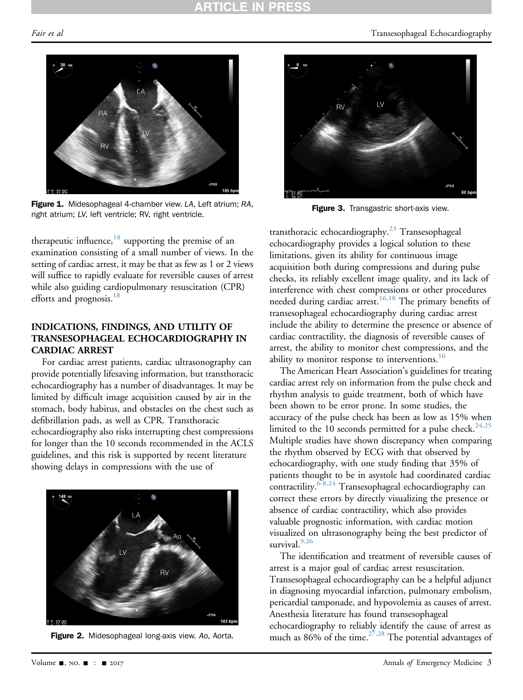### RTICLE IN PRES

<span id="page-2-0"></span>

Figure 1. Midesophageal 4-chamber view. LA, Left atrium; RA, right atrium; LV, left ventricle; RV, right ventricle.

therapeutic influence,<sup>[18](#page-5-7)</sup> supporting the premise of an examination consisting of a small number of views. In the setting of cardiac arrest, it may be that as few as 1 or 2 views will suffice to rapidly evaluate for reversible causes of arrest while also guiding cardiopulmonary resuscitation (CPR) efforts and prognosis.<sup>18</sup>

#### INDICATIONS, FINDINGS, AND UTILITY OF TRANSESOPHAGEAL ECHOCARDIOGRAPHY IN CARDIAC ARREST

For cardiac arrest patients, cardiac ultrasonography can provide potentially lifesaving information, but transthoracic echocardiography has a number of disadvantages. It may be limited by difficult image acquisition caused by air in the stomach, body habitus, and obstacles on the chest such as defibrillation pads, as well as CPR. Transthoracic echocardiography also risks interrupting chest compressions for longer than the 10 seconds recommended in the ACLS guidelines, and this risk is supported by recent literature showing delays in compressions with the use of

<span id="page-2-1"></span>



<span id="page-2-2"></span>

Figure 3. Transgastric short-axis view.

transthoracic echocardiography.<sup>[23](#page-6-3)</sup> Transesophageal echocardiography provides a logical solution to these limitations, given its ability for continuous image acquisition both during compressions and during pulse checks, its reliably excellent image quality, and its lack of interference with chest compressions or other procedures needed during cardiac arrest.<sup>[16,18](#page-5-6)</sup> The primary benefits of transesophageal echocardiography during cardiac arrest include the ability to determine the presence or absence of cardiac contractility, the diagnosis of reversible causes of arrest, the ability to monitor chest compressions, and the ability to monitor response to interventions.<sup>[16](#page-5-6)</sup>

The American Heart Association's guidelines for treating cardiac arrest rely on information from the pulse check and rhythm analysis to guide treatment, both of which have been shown to be error prone. In some studies, the accuracy of the pulse check has been as low as 15% when limited to the 10 seconds permitted for a pulse check.<sup>[24,25](#page-6-4)</sup> Multiple studies have shown discrepancy when comparing the rhythm observed by ECG with that observed by echocardiography, with one study finding that 35% of patients thought to be in asystole had coordinated cardiac contractility.<sup> $6-8,24$ </sup> Transesophageal echocardiography can correct these errors by directly visualizing the presence or absence of cardiac contractility, which also provides valuable prognostic information, with cardiac motion visualized on ultrasonography being the best predictor of survival. $9,26$ 

The identification and treatment of reversible causes of arrest is a major goal of cardiac arrest resuscitation. Transesophageal echocardiography can be a helpful adjunct in diagnosing myocardial infarction, pulmonary embolism, pericardial tamponade, and hypovolemia as causes of arrest. Anesthesia literature has found transesophageal echocardiography to reliably identify the cause of arrest as much as  $86\%$  of the time.<sup>27,28</sup> The potential advantages of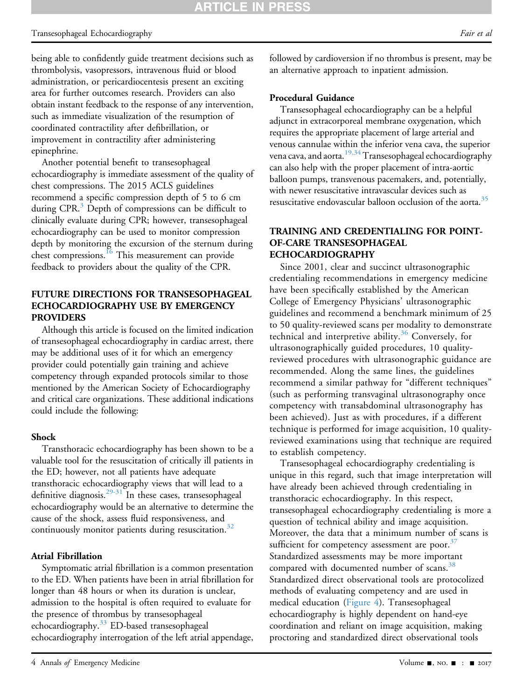#### Transesophageal Echocardiography Fair et al. The state of the state of the state of the state of the state of the state of the state of the state of the state of the state of the state of the state of the state of the stat

being able to confidently guide treatment decisions such as thrombolysis, vasopressors, intravenous fluid or blood administration, or pericardiocentesis present an exciting area for further outcomes research. Providers can also obtain instant feedback to the response of any intervention, such as immediate visualization of the resumption of coordinated contractility after defibrillation, or improvement in contractility after administering epinephrine.

Another potential benefit to transesophageal echocardiography is immediate assessment of the quality of chest compressions. The 2015 ACLS guidelines recommend a specific compression depth of 5 to 6 cm during CPR.<sup>[3](#page-5-10)</sup> Depth of compressions can be difficult to clinically evaluate during CPR; however, transesophageal echocardiography can be used to monitor compression depth by monitoring the excursion of the sternum during chest compressions.<sup>16</sup> This measurement can provide feedback to providers about the quality of the CPR.

#### FUTURE DIRECTIONS FOR TRANSESOPHAGEAL ECHOCARDIOGRAPHY USE BY EMERGENCY PROVIDERS

Although this article is focused on the limited indication of transesophageal echocardiography in cardiac arrest, there may be additional uses of it for which an emergency provider could potentially gain training and achieve competency through expanded protocols similar to those mentioned by the American Society of Echocardiography and critical care organizations. These additional indications could include the following:

#### Shock

Transthoracic echocardiography has been shown to be a valuable tool for the resuscitation of critically ill patients in the ED; however, not all patients have adequate transthoracic echocardiography views that will lead to a definitive diagnosis. $29-31$  In these cases, transesophageal echocardiography would be an alternative to determine the cause of the shock, assess fluid responsiveness, and continuously monitor patients during resuscitation.<sup>[32](#page-6-7)</sup>

#### Atrial Fibrillation

Symptomatic atrial fibrillation is a common presentation to the ED. When patients have been in atrial fibrillation for longer than 48 hours or when its duration is unclear, admission to the hospital is often required to evaluate for the presence of thrombus by transesophageal echocardiography.<sup>[33](#page-6-8)</sup> ED-based transesophageal echocardiography interrogation of the left atrial appendage, followed by cardioversion if no thrombus is present, may be an alternative approach to inpatient admission.

#### Procedural Guidance

Transesophageal echocardiography can be a helpful adjunct in extracorporeal membrane oxygenation, which requires the appropriate placement of large arterial and venous cannulae within the inferior vena cava, the superior vena cava, and aorta.<sup>[19,34](#page-6-9)</sup> Transesophageal echocardiography can also help with the proper placement of intra-aortic balloon pumps, transvenous pacemakers, and, potentially, with newer resuscitative intravascular devices such as resuscitative endovascular balloon occlusion of the aorta.<sup>35</sup>

#### TRAINING AND CREDENTIALING FOR POINT-OF-CARE TRANSESOPHAGEAL ECHOCARDIOGRAPHY

Since 2001, clear and succinct ultrasonographic credentialing recommendations in emergency medicine have been specifically established by the American College of Emergency Physicians' ultrasonographic guidelines and recommend a benchmark minimum of 25 to 50 quality-reviewed scans per modality to demonstrate technical and interpretive ability.<sup>[36](#page-6-11)</sup> Conversely, for ultrasonographically guided procedures, 10 qualityreviewed procedures with ultrasonographic guidance are recommended. Along the same lines, the guidelines recommend a similar pathway for "different techniques" (such as performing transvaginal ultrasonography once competency with transabdominal ultrasonography has been achieved). Just as with procedures, if a different technique is performed for image acquisition, 10 qualityreviewed examinations using that technique are required to establish competency.

Transesophageal echocardiography credentialing is unique in this regard, such that image interpretation will have already been achieved through credentialing in transthoracic echocardiography. In this respect, transesophageal echocardiography credentialing is more a question of technical ability and image acquisition. Moreover, the data that a minimum number of scans is sufficient for competency assessment are poor. $37$ Standardized assessments may be more important compared with documented number of scans.<sup>[38](#page-6-13)</sup> Standardized direct observational tools are protocolized methods of evaluating competency and are used in medical education [\(Figure 4](#page-4-0)). Transesophageal echocardiography is highly dependent on hand-eye coordination and reliant on image acquisition, making proctoring and standardized direct observational tools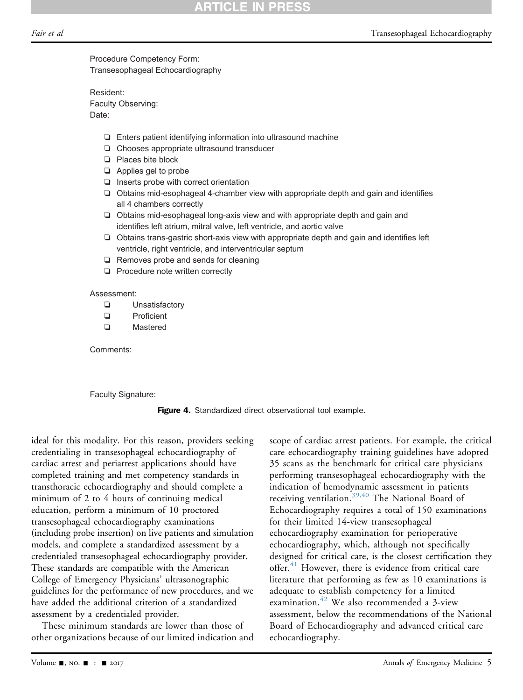<span id="page-4-0"></span>Procedure Competency Form: Transesophageal Echocardiography

Resident: Faculty Observing: Date:

- ❏ Enters patient identifying information into ultrasound machine
- ❏ Chooses appropriate ultrasound transducer
- ❏ Places bite block
- ❏ Applies gel to probe
- ❏ Inserts probe with correct orientation
- ❏ Obtains mid-esophageal 4-chamber view with appropriate depth and gain and identifies all 4 chambers correctly
- ❏ Obtains mid-esophageal long-axis view and with appropriate depth and gain and identifies left atrium, mitral valve, left ventricle, and aortic valve
- ❏ Obtains trans-gastric short-axis view with appropriate depth and gain and identifies left ventricle, right ventricle, and interventricular septum
- ❏ Removes probe and sends for cleaning
- ❏ Procedure note written correctly

Assessment:

- ❏ Unsatisfactory
- ❏ Proficient
- ❏ Mastered

Comments:

Faculty Signature:

Figure 4. Standardized direct observational tool example.

ideal for this modality. For this reason, providers seeking credentialing in transesophageal echocardiography of cardiac arrest and periarrest applications should have completed training and met competency standards in transthoracic echocardiography and should complete a minimum of 2 to 4 hours of continuing medical education, perform a minimum of 10 proctored transesophageal echocardiography examinations (including probe insertion) on live patients and simulation models, and complete a standardized assessment by a credentialed transesophageal echocardiography provider. These standards are compatible with the American College of Emergency Physicians' ultrasonographic guidelines for the performance of new procedures, and we have added the additional criterion of a standardized assessment by a credentialed provider.

These minimum standards are lower than those of other organizations because of our limited indication and scope of cardiac arrest patients. For example, the critical care echocardiography training guidelines have adopted 35 scans as the benchmark for critical care physicians performing transesophageal echocardiography with the indication of hemodynamic assessment in patients receiving ventilation.<sup>[39,40](#page-6-14)</sup> The National Board of Echocardiography requires a total of 150 examinations for their limited 14-view transesophageal echocardiography examination for perioperative echocardiography, which, although not specifically designed for critical care, is the closest certification they offer. $41$  However, there is evidence from critical care literature that performing as few as 10 examinations is adequate to establish competency for a limited examination.<sup>[42](#page-6-16)</sup> We also recommended a 3-view assessment, below the recommendations of the National Board of Echocardiography and advanced critical care echocardiography.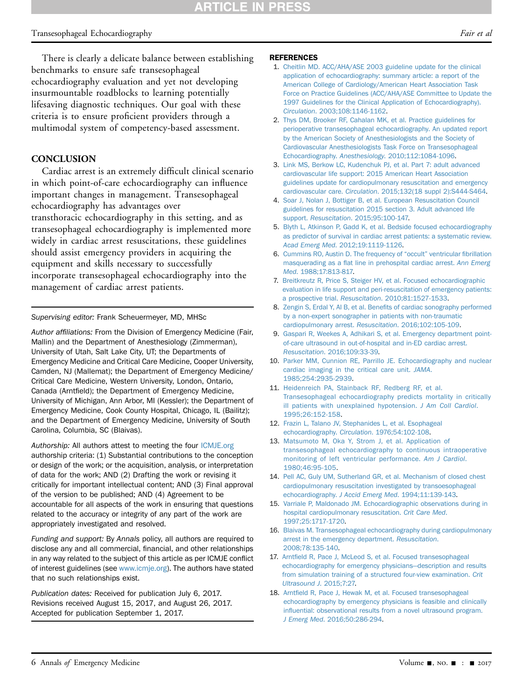#### Transesophageal Echocardiography Fair et al. The state of the state of the state of the state of the state of the state of the state of the state of the state of the state of the state of the state of the state of the stat

There is clearly a delicate balance between establishing benchmarks to ensure safe transesophageal echocardiography evaluation and yet not developing insurmountable roadblocks to learning potentially lifesaving diagnostic techniques. Our goal with these criteria is to ensure proficient providers through a multimodal system of competency-based assessment.

#### **CONCLUSION**

Cardiac arrest is an extremely difficult clinical scenario in which point-of-care echocardiography can influence important changes in management. Transesophageal echocardiography has advantages over transthoracic echocardiography in this setting, and as transesophageal echocardiography is implemented more widely in cardiac arrest resuscitations, these guidelines should assist emergency providers in acquiring the equipment and skills necessary to successfully incorporate transesophageal echocardiography into the management of cardiac arrest patients.

Supervising editor: Frank Scheuermeyer, MD, MHSc

Author affiliations: From the Division of Emergency Medicine (Fair, Mallin) and the Department of Anesthesiology (Zimmerman), University of Utah, Salt Lake City, UT; the Departments of Emergency Medicine and Critical Care Medicine, Cooper University, Camden, NJ (Mallemat); the Department of Emergency Medicine/ Critical Care Medicine, Western University, London, Ontario, Canada (Arntfield); the Department of Emergency Medicine, University of Michigan, Ann Arbor, MI (Kessler); the Department of Emergency Medicine, Cook County Hospital, Chicago, IL (Bailitz); and the Department of Emergency Medicine, University of South Carolina, Columbia, SC (Blaivas).

Authorship: All authors attest to meeting the four [ICMJE.org](http://ICMJE.org) authorship criteria: (1) Substantial contributions to the conception or design of the work; or the acquisition, analysis, or interpretation of data for the work; AND (2) Drafting the work or revising it critically for important intellectual content; AND (3) Final approval of the version to be published; AND (4) Agreement to be accountable for all aspects of the work in ensuring that questions related to the accuracy or integrity of any part of the work are appropriately investigated and resolved.

Funding and support: By Annals policy, all authors are required to disclose any and all commercial, financial, and other relationships in any way related to the subject of this article as per ICMJE conflict of interest guidelines (see [www.icmje.org\)](http://www.icmje.org/). The authors have stated that no such relationships exist.

Publication dates: Received for publication July 6, 2017. Revisions received August 15, 2017, and August 26, 2017. Accepted for publication September 1, 2017.

#### REFERENCES

- <span id="page-5-0"></span>1. [Cheitlin MD. ACC/AHA/ASE 2003 guideline update for the clinical](http://refhub.elsevier.com/S0196-0644(17)31651-7/sref1) [application of echocardiography: summary article: a report of the](http://refhub.elsevier.com/S0196-0644(17)31651-7/sref1) [American College of Cardiology/American Heart Association Task](http://refhub.elsevier.com/S0196-0644(17)31651-7/sref1) [Force on Practice Guidelines \(ACC/AHA/ASE Committee to Update the](http://refhub.elsevier.com/S0196-0644(17)31651-7/sref1) [1997 Guidelines for the Clinical Application of Echocardiography\).](http://refhub.elsevier.com/S0196-0644(17)31651-7/sref1) Circulation[. 2003;108:1146-1162.](http://refhub.elsevier.com/S0196-0644(17)31651-7/sref1)
- 2. [Thys DM, Brooker RF, Cahalan MK, et al. Practice guidelines for](http://refhub.elsevier.com/S0196-0644(17)31651-7/sref2) [perioperative transesophageal echocardiography. An updated report](http://refhub.elsevier.com/S0196-0644(17)31651-7/sref2) [by the American Society of Anesthesiologists and the Society of](http://refhub.elsevier.com/S0196-0644(17)31651-7/sref2) [Cardiovascular Anesthesiologists Task Force on Transesophageal](http://refhub.elsevier.com/S0196-0644(17)31651-7/sref2) Echocardiography. Anesthesiology[. 2010;112:1084-1096.](http://refhub.elsevier.com/S0196-0644(17)31651-7/sref2)
- <span id="page-5-10"></span>3. [Link MS, Berkow LC, Kudenchuk PJ, et al. Part 7: adult advanced](http://refhub.elsevier.com/S0196-0644(17)31651-7/sref3) [cardiovascular life support: 2015 American Heart Association](http://refhub.elsevier.com/S0196-0644(17)31651-7/sref3) [guidelines update for cardiopulmonary resuscitation and emergency](http://refhub.elsevier.com/S0196-0644(17)31651-7/sref3) cardiovascular care. Circulation[. 2015;132\(18 suppl 2\):S444-S464.](http://refhub.elsevier.com/S0196-0644(17)31651-7/sref3)
- 4. [Soar J, Nolan J, Bottiger B, et al. European Resuscitation Council](http://refhub.elsevier.com/S0196-0644(17)31651-7/sref4) [guidelines for resuscitation 2015 section 3. Adult advanced life](http://refhub.elsevier.com/S0196-0644(17)31651-7/sref4) support. Resuscitation[. 2015;95:100-147.](http://refhub.elsevier.com/S0196-0644(17)31651-7/sref4)
- <span id="page-5-1"></span>5. [Blyth L, Atkinson P, Gadd K, et al. Bedside focused echocardiography](http://refhub.elsevier.com/S0196-0644(17)31651-7/sref5) [as predictor of survival in cardiac arrest patients: a systematic review.](http://refhub.elsevier.com/S0196-0644(17)31651-7/sref5) Acad Emerg Med[. 2012;19:1119-1126.](http://refhub.elsevier.com/S0196-0644(17)31651-7/sref5)
- <span id="page-5-8"></span>6. [Cummins RO, Austin D. The frequency of](http://refhub.elsevier.com/S0196-0644(17)31651-7/sref6) "occult" ventricular fibrillation masquerading as a fl[at line in prehospital cardiac arrest.](http://refhub.elsevier.com/S0196-0644(17)31651-7/sref6) Ann Emerg Med[. 1988;17:813-817.](http://refhub.elsevier.com/S0196-0644(17)31651-7/sref6)
- 7. [Breitkreutz R, Price S, Steiger HV, et al. Focused echocardiographic](http://refhub.elsevier.com/S0196-0644(17)31651-7/sref7) [evaluation in life support and peri-resuscitation of emergency patients:](http://refhub.elsevier.com/S0196-0644(17)31651-7/sref7) a prospective trial. Resuscitation[. 2010;81:1527-1533](http://refhub.elsevier.com/S0196-0644(17)31651-7/sref7).
- 8. Zengin S, Erdal Y, Al B, et al. Benefi[ts of cardiac sonography performed](http://refhub.elsevier.com/S0196-0644(17)31651-7/sref8) [by a non-expert sonographer in patients with non-traumatic](http://refhub.elsevier.com/S0196-0644(17)31651-7/sref8) [cardiopulmonary arrest.](http://refhub.elsevier.com/S0196-0644(17)31651-7/sref8) Resuscitation. 2016;102:105-109.
- <span id="page-5-9"></span>9. [Gaspari R, Weekes A, Adhikari S, et al. Emergency department point](http://refhub.elsevier.com/S0196-0644(17)31651-7/sref9)[of-care ultrasound in out-of-hospital and in-ED cardiac arrest.](http://refhub.elsevier.com/S0196-0644(17)31651-7/sref9) Resuscitation[. 2016;109:33-39](http://refhub.elsevier.com/S0196-0644(17)31651-7/sref9).
- <span id="page-5-2"></span>10. [Parker MM, Cunnion RE, Parrillo JE. Echocardiography and nuclear](http://refhub.elsevier.com/S0196-0644(17)31651-7/sref10) [cardiac imaging in the critical care unit.](http://refhub.elsevier.com/S0196-0644(17)31651-7/sref10) JAMA. [1985;254:2935-2939.](http://refhub.elsevier.com/S0196-0644(17)31651-7/sref10)
- <span id="page-5-3"></span>11. [Heidenreich PA, Stainback RF, Redberg RF, et al.](http://refhub.elsevier.com/S0196-0644(17)31651-7/sref11) [Transesophageal echocardiography predicts mortality in critically](http://refhub.elsevier.com/S0196-0644(17)31651-7/sref11) [ill patients with unexplained hypotension.](http://refhub.elsevier.com/S0196-0644(17)31651-7/sref11) J Am Coll Cardiol. [1995;26:152-158](http://refhub.elsevier.com/S0196-0644(17)31651-7/sref11).
- <span id="page-5-4"></span>12. [Frazin L, Talano JV, Stephanides L, et al. Esophageal](http://refhub.elsevier.com/S0196-0644(17)31651-7/sref12) echocardiography. Circulation[. 1976;54:102-108](http://refhub.elsevier.com/S0196-0644(17)31651-7/sref12).
- 13. [Matsumoto M, Oka Y, Strom J, et al. Application of](http://refhub.elsevier.com/S0196-0644(17)31651-7/sref13) [transesophageal echocardiography to continuous intraoperative](http://refhub.elsevier.com/S0196-0644(17)31651-7/sref13) [monitoring of left ventricular performance.](http://refhub.elsevier.com/S0196-0644(17)31651-7/sref13) Am J Cardiol. [1980;46:95-105](http://refhub.elsevier.com/S0196-0644(17)31651-7/sref13).
- <span id="page-5-5"></span>14. [Pell AC, Guly UM, Sutherland GR, et al. Mechanism of closed chest](http://refhub.elsevier.com/S0196-0644(17)31651-7/sref14) [cardiopulmonary resuscitation investigated by transoesophageal](http://refhub.elsevier.com/S0196-0644(17)31651-7/sref14) echocardiography. J Accid Emerg Med[. 1994;11:139-143](http://refhub.elsevier.com/S0196-0644(17)31651-7/sref14).
- 15. [Varriale P, Maldonado JM. Echocardiographic observations during in](http://refhub.elsevier.com/S0196-0644(17)31651-7/sref15) [hospital cardiopulmonary resuscitation.](http://refhub.elsevier.com/S0196-0644(17)31651-7/sref15) Crit Care Med. [1997;25:1717-1720](http://refhub.elsevier.com/S0196-0644(17)31651-7/sref15).
- <span id="page-5-6"></span>16. [Blaivas M. Transesophageal echocardiography during cardiopulmonary](http://refhub.elsevier.com/S0196-0644(17)31651-7/sref16) [arrest in the emergency department.](http://refhub.elsevier.com/S0196-0644(17)31651-7/sref16) Resuscitation. [2008;78:135-140](http://refhub.elsevier.com/S0196-0644(17)31651-7/sref16).
- 17. Arntfi[eld R, Pace J, McLeod S, et al. Focused transesophageal](http://refhub.elsevier.com/S0196-0644(17)31651-7/sref17) [echocardiography for emergency physicians](http://refhub.elsevier.com/S0196-0644(17)31651-7/sref17)—[description and results](http://refhub.elsevier.com/S0196-0644(17)31651-7/sref17) [from simulation training of a structured four-view examination.](http://refhub.elsevier.com/S0196-0644(17)31651-7/sref17) Crit [Ultrasound J](http://refhub.elsevier.com/S0196-0644(17)31651-7/sref17). 2015;7:27.
- <span id="page-5-7"></span>18. Arntfi[eld R, Pace J, Hewak M, et al. Focused transesophageal](http://refhub.elsevier.com/S0196-0644(17)31651-7/sref18) [echocardiography by emergency physicians is feasible and clinically](http://refhub.elsevier.com/S0196-0644(17)31651-7/sref18) infl[uential: observational results from a novel ultrasound program.](http://refhub.elsevier.com/S0196-0644(17)31651-7/sref18) J Emerg Med[. 2016;50:286-294](http://refhub.elsevier.com/S0196-0644(17)31651-7/sref18).